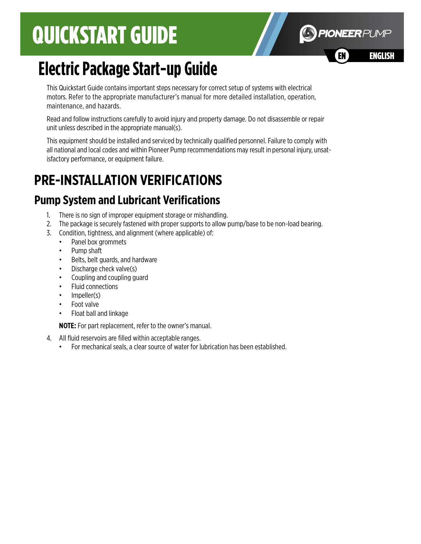# QUICKSTART GUIDE



# **Electric Package Start-up Guide**

This Quickstart Guide contains important steps necessary for correct setup of systems with electrical motors. Refer to the appropriate manufacturer's manual for more detailed installation, operation, maintenance, and hazards.

Read and follow instructions carefully to avoid injury and property damage. Do not disassemble or repair unit unless described in the appropriate manual(s).

This equipment should be installed and serviced by technically qualified personnel. Failure to comply with all national and local codes and within Pioneer Pump recommendations may result in personal injury, unsatisfactory performance, or equipment failure.

# **PRE-INSTALLATION VERIFICATIONS**

## **Pump System and Lubricant Verifications**

- 1. There is no sign of improper equipment storage or mishandling.
- 2. The package is securely fastened with proper supports to allow pump/base to be non-load bearing.
- 3. Condition, tightness, and alignment (where applicable) of:
	- Panel box grommets
	- Pump shaft
	- Belts, belt guards, and hardware
	- Discharge check valve(s)
	- Coupling and coupling guard
	- Fluid connections
	- Impeller(s)
	- Foot valve
	- Float ball and linkage

**NOTE:** For part replacement, refer to the owner's manual.

- 4. All fluid reservoirs are filled within acceptable ranges.
	- For mechanical seals, a clear source of water for lubrication has been established.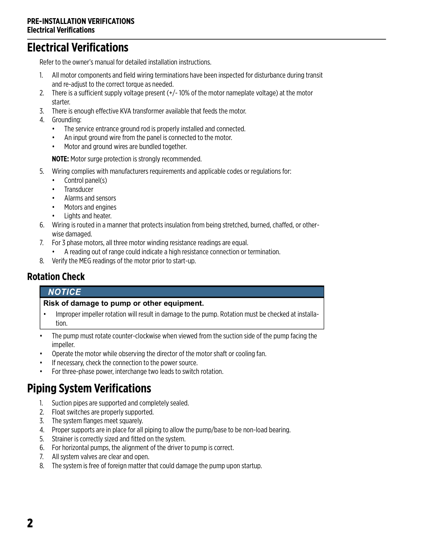## **Electrical Verifications**

Refer to the owner's manual for detailed installation instructions.

- 1. All motor components and field wiring terminations have been inspected for disturbance during transit and re-adjust to the correct torque as needed.
- 2. There is a sufficient supply voltage present  $(+/-10\%$  of the motor nameplate voltage) at the motor starter.
- 3. There is enough effective KVA transformer available that feeds the motor.
- 4. Grounding:
	- The service entrance ground rod is properly installed and connected.
	- An input ground wire from the panel is connected to the motor.
	- Motor and ground wires are bundled together.

**NOTE:** Motor surge protection is strongly recommended.

- 5. Wiring complies with manufacturers requirements and applicable codes or regulations for:
	- Control panel(s)
	- **Transducer**
	- Alarms and sensors
	- Motors and engines
	- Lights and heater.
- 6. Wiring is routed in a manner that protects insulation from being stretched, burned, chaffed, or otherwise damaged.
- 7. For 3 phase motors, all three motor winding resistance readings are equal.
	- A reading out of range could indicate a high resistance connection or termination.
- 8. Verify the MEG readings of the motor prior to start-up.

### **Rotation Check**

#### **NOTICE**

#### **Risk of damage to pump or other equipment.**

- Improper impeller rotation will result in damage to the pump. Rotation must be checked at installation.
- The pump must rotate counter-clockwise when viewed from the suction side of the pump facing the impeller.
- Operate the motor while observing the director of the motor shaft or cooling fan.
- If necessary, check the connection to the power source.
- For three-phase power, interchange two leads to switch rotation.

## **Piping System Verifications**

- 1. Suction pipes are supported and completely sealed.
- 2. Float switches are properly supported.
- 3. The system flanges meet squarely.
- 4. Proper supports are in place for all piping to allow the pump/base to be non-load bearing.
- 5. Strainer is correctly sized and fitted on the system.
- 6. For horizontal pumps, the alignment of the driver to pump is correct.
- 7. All system valves are clear and open.
- 8. The system is free of foreign matter that could damage the pump upon startup.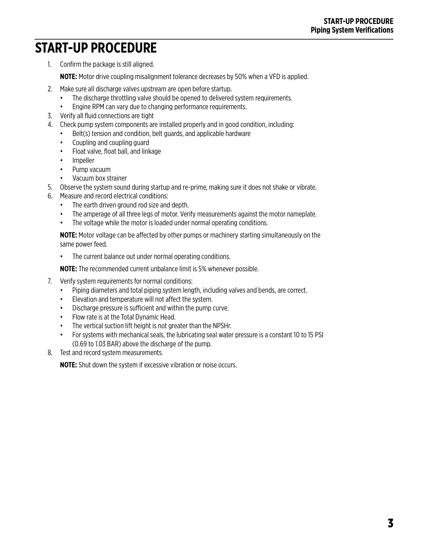## **START-UP PROCEDURE**

1. Confirm the package is still aligned.

**NOTE:** Motor drive coupling misalignment tolerance decreases by 50% when a VFD is applied.

- 2. Make sure all discharge valves upstream are open before startup.
	- The discharge throttling valve should be opened to delivered system requirements.
	- Engine RPM can vary due to changing performance requirements.
- 3. Verify all fluid connections are tight
- 4. Check pump system components are installed properly and in good condition, including:
	- Belt(s) tension and condition, belt guards, and applicable hardware
	- Coupling and coupling guard
	- Float valve, float ball, and linkage
	- Impeller
	- Pump vacuum
	- Vacuum box strainer
- 5. Observe the system sound during startup and re-prime, making sure it does not shake or vibrate.
- 6. Measure and record electrical conditions:
	- The earth driven ground rod size and depth.
	- The amperage of all three legs of motor. Verify measurements against the motor nameplate.
	- The voltage while the motor is loaded under normal operating conditions.

**NOTE:** Motor voltage can be affected by other pumps or machinery starting simultaneously on the same power feed.

• The current balance out under normal operating conditions.

**NOTE:** The recommended current unbalance limit is 5% whenever possible.

- 7. Verify system requirements for normal conditions:
	- Piping diameters and total piping system length, including valves and bends, are correct.
	- Elevation and temperature will not affect the system.
	- Discharge pressure is sufficient and within the pump curve.
	- Flow rate is at the Total Dynamic Head.
	- The vertical suction lift height is not greater than the NPSHr.
	- For systems with mechanical seals, the lubricating seal water pressure is a constant 10 to 15 PSI (0.69 to 1.03 BAR) above the discharge of the pump.
- 8. Test and record system measurements.

**NOTE:** Shut down the system if excessive vibration or noise occurs.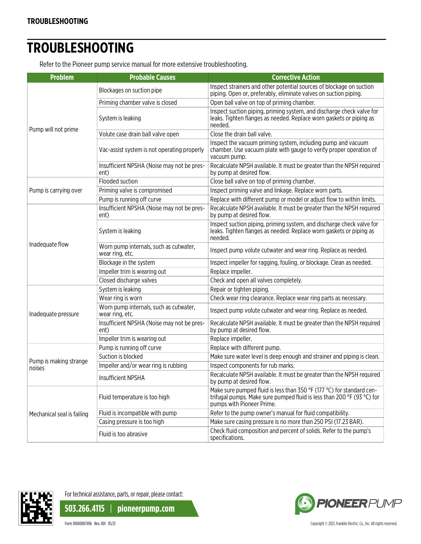## **TROUBLESHOOTING**

Refer to the Pioneer pump service manual for more extensive troubleshooting.

| <b>Problem</b>                   | <b>Probable Causes</b>                                    | <b>Corrective Action</b>                                                                                                                                                     |
|----------------------------------|-----------------------------------------------------------|------------------------------------------------------------------------------------------------------------------------------------------------------------------------------|
| Pump will not prime              | Blockages on suction pipe                                 | Inspect strainers and other potential sources of blockage on suction<br>piping. Open or, preferably, eliminate valves on suction piping.                                     |
|                                  | Priming chamber valve is closed                           | Open ball valve on top of priming chamber.                                                                                                                                   |
|                                  | System is leaking                                         | Inspect suction piping, priming system, and discharge check valve for<br>leaks. Tighten flanges as needed. Replace worn gaskets or piping as<br>needed.                      |
|                                  | Volute case drain ball valve open                         | Close the drain ball valve.                                                                                                                                                  |
|                                  | Vac-assist system is not operating properly               | Inspect the vacuum priming system, including pump and vacuum<br>chamber. Use vacuum plate with gauge to verify proper operation of<br>vacuum pump.                           |
|                                  | Insufficient NPSHA (Noise may not be pres-<br>ent)        | Recalculate NPSH available. It must be greater than the NPSH required<br>by pump at desired flow.                                                                            |
|                                  | Flooded suction                                           | Close ball valve on top of priming chamber.                                                                                                                                  |
| Pump is carrying over            | Priming valve is compromised                              | Inspect priming valve and linkage. Replace worn parts.                                                                                                                       |
|                                  | Pump is running off curve                                 | Replace with different pump or model or adjust flow to within limits.                                                                                                        |
| Inadequate flow                  | Insufficient NPSHA (Noise may not be pres-<br>ent)        | Recalculate NPSH available. It must be greater than the NPSH required<br>by pump at desired flow.                                                                            |
|                                  | System is leaking                                         | Inspect suction piping, priming system, and discharge check valve for<br>leaks. Tighten flanges as needed. Replace worn gaskets or piping as<br>needed.                      |
|                                  | Worn pump internals, such as cutwater,<br>wear ring, etc. | Inspect pump volute cutwater and wear ring. Replace as needed.                                                                                                               |
|                                  | Blockage in the system                                    | Inspect impeller for ragging, fouling, or blockage. Clean as needed.                                                                                                         |
|                                  | Impeller trim is wearing out                              | Replace impeller.                                                                                                                                                            |
|                                  | Closed discharge valves                                   | Check and open all valves completely.                                                                                                                                        |
|                                  | System is leaking                                         | Repair or tighten piping.                                                                                                                                                    |
|                                  | Wear ring is worn                                         | Check wear ring clearance. Replace wear ring parts as necessary.                                                                                                             |
| Inadequate pressure              | Worn pump internals, such as cutwater,<br>wear ring, etc. | Inspect pump volute cutwater and wear ring. Replace as needed.                                                                                                               |
|                                  | Insufficient NPSHA (Noise may not be pres-<br>ent)        | Recalculate NPSH available. It must be greater than the NPSH required<br>by pump at desired flow.                                                                            |
|                                  | Impeller trim is wearing out                              | Replace impeller.                                                                                                                                                            |
| Pump is making strange<br>noises | Pump is running off curve                                 | Replace with different pump.                                                                                                                                                 |
|                                  | Suction is blocked                                        | Make sure water level is deep enough and strainer and piping is clean.                                                                                                       |
|                                  | Impeller and/or wear ring is rubbing                      | Inspect components for rub marks.                                                                                                                                            |
|                                  | Insufficient NPSHA                                        | Recalculate NPSH available. It must be greater than the NPSH required<br>by pump at desired flow.                                                                            |
| Mechanical seal is failing       | Fluid temperature is too high                             | Make sure pumped fluid is less than 350 °F (177 °C) for standard cen-<br>trifugal pumps. Make sure pumped fluid is less than 200 °F (93 °C) for<br>pumps with Pioneer Prime. |
|                                  | Fluid is incompatible with pump                           | Refer to the pump owner's manual for fluid compatibility.                                                                                                                    |
|                                  | Casing pressure is too high                               | Make sure casing pressure is no more than 250 PSI (17.23 BAR).                                                                                                               |
|                                  | Fluid is too abrasive                                     | Check fluid composition and percent of solids. Refer to the pump's<br>specifications.                                                                                        |



For technical assistance, parts, or repair, please contact:

**503.266.4115** | **pioneerpump.com**

Form 10000007496 Rev. 001 05/21 Copyright © 2021, Franklin Electric, Co., Inc. All rights reserved.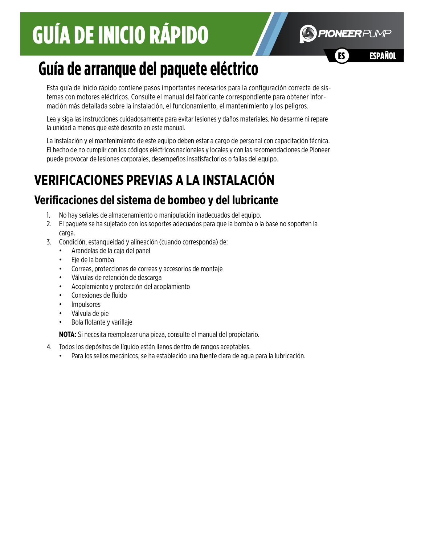# GUÍA DE INICIO RÁPIDO



# **Guía de arranque del paquete eléctrico**

Esta guía de inicio rápido contiene pasos importantes necesarios para la configuración correcta de sistemas con motores eléctricos. Consulte el manual del fabricante correspondiente para obtener información más detallada sobre la instalación, el funcionamiento, el mantenimiento y los peligros.

Lea y siga las instrucciones cuidadosamente para evitar lesiones y daños materiales. No desarme ni repare la unidad a menos que esté descrito en este manual.

La instalación y el mantenimiento de este equipo deben estar a cargo de personal con capacitación técnica. El hecho de no cumplir con los códigos eléctricos nacionales y locales y con las recomendaciones de Pioneer puede provocar de lesiones corporales, desempeños insatisfactorios o fallas del equipo.

# **VERIFICACIONES PREVIAS A LA INSTALACIÓN**

## **Verificaciones del sistema de bombeo y del lubricante**

- 1. No hay señales de almacenamiento o manipulación inadecuados del equipo.
- 2. El paquete se ha sujetado con los soportes adecuados para que la bomba o la base no soporten la carga.
- 3. Condición, estanqueidad y alineación (cuando corresponda) de:
	- Arandelas de la caja del panel
	- Eje de la bomba
	- Correas, protecciones de correas y accesorios de montaje
	- Válvulas de retención de descarga
	- Acoplamiento y protección del acoplamiento
	- Conexiones de fluido
	- **Impulsores**
	- Válvula de pie
	- Bola flotante y varillaje

**NOTA:** Si necesita reemplazar una pieza, consulte el manual del propietario.

- 4. Todos los depósitos de líquido están llenos dentro de rangos aceptables.
	- Para los sellos mecánicos, se ha establecido una fuente clara de agua para la lubricación.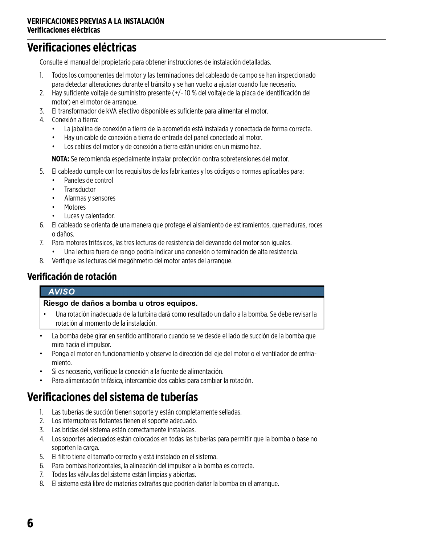#### **VERIFICACIONES PREVIAS A LA INSTALACIÓN Verificaciones eléctricas**

### **Verificaciones eléctricas**

Consulte el manual del propietario para obtener instrucciones de instalación detalladas.

- 1. Todos los componentes del motor y las terminaciones del cableado de campo se han inspeccionado para detectar alteraciones durante el tránsito y se han vuelto a ajustar cuando fue necesario.
- 2. Hay suficiente voltaje de suministro presente (+/- 10 % del voltaje de la placa de identificación del motor) en el motor de arranque.
- 3. El transformador de kVA efectivo disponible es suficiente para alimentar el motor.
- 4. Conexión a tierra:
	- La jabalina de conexión a tierra de la acometida está instalada y conectada de forma correcta.
	- Hay un cable de conexión a tierra de entrada del panel conectado al motor.
	- Los cables del motor y de conexión a tierra están unidos en un mismo haz.

**NOTA:** Se recomienda especialmente instalar protección contra sobretensiones del motor.

- 5. El cableado cumple con los requisitos de los fabricantes y los códigos o normas aplicables para:
	- Paneles de control
	- **Transductor**
	- Alarmas y sensores
	- Motores
	- Luces y calentador.
- 6. El cableado se orienta de una manera que protege el aislamiento de estiramientos, quemaduras, roces o daños.
- 7. Para motores trifásicos, las tres lecturas de resistencia del devanado del motor son iguales.
	- Una lectura fuera de rango podría indicar una conexión o terminación de alta resistencia.
- 8. Verifique las lecturas del megóhmetro del motor antes del arranque.

### **Verificación de rotación**

#### **AVISO**

#### **Riesgo de daños a bomba u otros equipos.**

- Una rotación inadecuada de la turbina dará como resultado un daño a la bomba. Se debe revisar la rotación al momento de la instalación.
- La bomba debe girar en sentido antihorario cuando se ve desde el lado de succión de la bomba que mira hacia el impulsor.
- Ponga el motor en funcionamiento y observe la dirección del eje del motor o el ventilador de enfriamiento.
- Si es necesario, verifique la conexión a la fuente de alimentación.
- Para alimentación trifásica, intercambie dos cables para cambiar la rotación.

## **Verificaciones del sistema de tuberías**

- 1. Las tuberías de succión tienen soporte y están completamente selladas.
- 2. Los interruptores flotantes tienen el soporte adecuado.
- 3. Las bridas del sistema están correctamente instaladas.
- 4. Los soportes adecuados están colocados en todas las tuberías para permitir que la bomba o base no soporten la carga.
- 5. El filtro tiene el tamaño correcto y está instalado en el sistema.
- 6. Para bombas horizontales, la alineación del impulsor a la bomba es correcta.
- 7. Todas las válvulas del sistema están limpias y abiertas.
- 8. El sistema está libre de materias extrañas que podrían dañar la bomba en el arranque.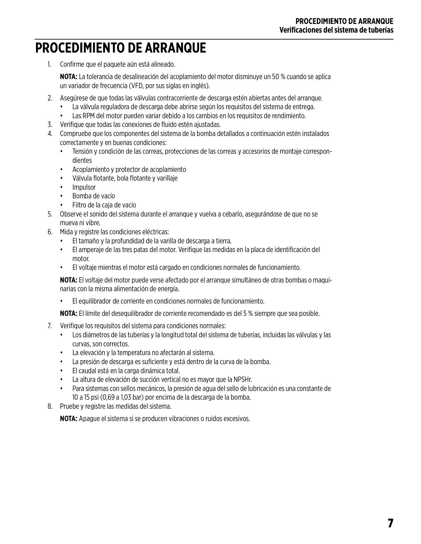## **PROCEDIMIENTO DE ARRANQUE**

1. Confirme que el paquete aún está alineado.

**NOTA:** La tolerancia de desalineación del acoplamiento del motor disminuye un 50 % cuando se aplica un variador de frecuencia (VFD, por sus siglas en inglés).

- 2. Asegúrese de que todas las válvulas contracorriente de descarga estén abiertas antes del arranque.
	- La válvula reguladora de descarga debe abrirse según los requisitos del sistema de entrega.
	- Las RPM del motor pueden variar debido a los cambios en los requisitos de rendimiento.
- 3. Verifique que todas las conexiones de fluido estén ajustadas.
- 4. Compruebe que los componentes del sistema de la bomba detallados a continuación estén instalados correctamente y en buenas condiciones:
	- Tensión y condición de las correas, protecciones de las correas y accesorios de montaje correspondientes
	- Acoplamiento y protector de acoplamiento
	- Válvula flotante, bola flotante y varillaje
	- Impulsor
	- Bomba de vacío
	- Filtro de la caja de vacío
- 5. Observe el sonido del sistema durante el arranque y vuelva a cebarlo, asegurándose de que no se mueva ni vibre.
- 6. Mida y registre las condiciones eléctricas:
	- El tamaño y la profundidad de la varilla de descarga a tierra.
	- El amperaje de las tres patas del motor. Verifique las medidas en la placa de identificación del motor.
	- El voltaje mientras el motor está cargado en condiciones normales de funcionamiento.

**NOTA:** El voltaje del motor puede verse afectado por el arranque simultáneo de otras bombas o maquinarias con la misma alimentación de energía.

• El equilibrador de corriente en condiciones normales de funcionamiento.

**NOTA:** El límite del desequilibrador de corriente recomendado es del 5 % siempre que sea posible.

- 7. Verifique los requisitos del sistema para condiciones normales:
	- Los diámetros de las tuberías y la longitud total del sistema de tuberías, incluidas las válvulas y las curvas, son correctos.
	- La elevación y la temperatura no afectarán al sistema.
	- La presión de descarga es suficiente y está dentro de la curva de la bomba.
	- El caudal está en la carga dinámica total.
	- La altura de elevación de succión vertical no es mayor que la NPSHr.
	- Para sistemas con sellos mecánicos, la presión de agua del sello de lubricación es una constante de 10 a 15 psi (0,69 a 1,03 bar) por encima de la descarga de la bomba.
- 8. Pruebe y registre las medidas del sistema.

**NOTA:** Apague el sistema si se producen vibraciones o ruidos excesivos.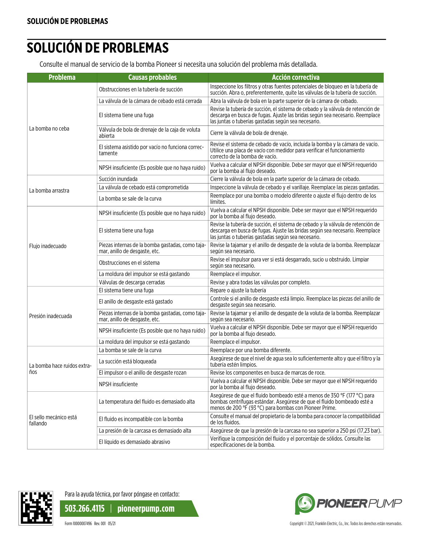## **SOLUCIÓN DE PROBLEMAS**

Consulte el manual de servicio de la bomba Pioneer si necesita una solución del problema más detallada.

| <b>Problema</b>                    | <b>Causas probables</b>                                                           | <b>Acción correctiva</b>                                                                                                                                                                                               |
|------------------------------------|-----------------------------------------------------------------------------------|------------------------------------------------------------------------------------------------------------------------------------------------------------------------------------------------------------------------|
| La bomba no ceba                   | Obstrucciones en la tubería de succión                                            | Inspeccione los filtros y otras fuentes potenciales de bloqueo en la tubería de<br>succión. Abra o, preferentemente, quite las válvulas de la tubería de succión.                                                      |
|                                    | La válvula de la cámara de cebado está cerrada                                    | Abra la válvula de bola en la parte superior de la cámara de cebado.                                                                                                                                                   |
|                                    | El sistema tiene una fuga                                                         | Revise la tubería de succión, el sistema de cebado y la válvula de retención de<br>descarga en busca de fugas. Ajuste las bridas según sea necesario. Reemplace<br>las juntas o tuberías gastadas según sea necesario. |
|                                    | Válvula de bola de drenaje de la caja de voluta<br>abierta                        | Cierre la válvula de bola de drenaje.                                                                                                                                                                                  |
|                                    | El sistema asistido por vacío no funciona correc-<br>tamente                      | Revise el sistema de cebado de vacío, incluida la bomba y la cámara de vacío.<br>Utilice una placa de vacío con medidor para verificar el funcionamiento<br>correcto de la bomba de vacío.                             |
|                                    | NPSH insuficiente (Es posible que no haya ruido)                                  | Vuelva a calcular el NPSH disponible. Debe ser mayor que el NPSH requerido<br>por la bomba al flujo deseado.                                                                                                           |
|                                    | Succión inundada                                                                  | Cierre la válvula de bola en la parte superior de la cámara de cebado.                                                                                                                                                 |
| La bomba arrastra                  | La válvula de cebado está comprometida                                            | Inspeccione la válvula de cebado y el varillaje. Reemplace las piezas gastadas.                                                                                                                                        |
|                                    | La bomba se sale de la curva                                                      | Reemplace por una bomba o modelo diferente o ajuste el flujo dentro de los<br>límites.                                                                                                                                 |
| Flujo inadecuado                   | NPSH insuficiente (Es posible que no haya ruido)                                  | Vuelva a calcular el NPSH disponible. Debe ser mayor que el NPSH requerido<br>por la bomba al flujo deseado.                                                                                                           |
|                                    | El sistema tiene una fuga                                                         | Revise la tubería de succión, el sistema de cebado y la válvula de retención de<br>descarga en busca de fugas. Ajuste las bridas según sea necesario. Reemplace<br>las juntas o tuberías gastadas según sea necesario. |
|                                    | Piezas internas de la bomba gastadas, como taja-<br>mar, anillo de desgaste, etc. | Revise la tajamar y el anillo de desgaste de la voluta de la bomba. Reemplazar<br>según sea necesario.                                                                                                                 |
|                                    | Obstrucciones en el sistema                                                       | Revise el impulsor para ver si está desgarrado, sucio u obstruido. Limpiar<br>según sea necesario.                                                                                                                     |
|                                    | La moldura del impulsor se está gastando                                          | Reemplace el impulsor.                                                                                                                                                                                                 |
|                                    | Válvulas de descarga cerradas                                                     | Revise y abra todas las válvulas por completo.                                                                                                                                                                         |
|                                    | El sistema tiene una fuga                                                         | Repare o ajuste la tubería                                                                                                                                                                                             |
| Presión inadecuada                 | El anillo de desgaste está gastado                                                | Controle si el anillo de desgaste está limpio. Reemplace las piezas del anillo de<br>desgaste según sea necesario.                                                                                                     |
|                                    | Piezas internas de la bomba gastadas, como taja-<br>mar, anillo de desgaste, etc. | Revise la tajamar y el anillo de desgaste de la voluta de la bomba. Reemplazar<br>según sea necesario.                                                                                                                 |
|                                    | NPSH insuficiente (Es posible que no haya ruido)                                  | Vuelva a calcular el NPSH disponible. Debe ser mayor que el NPSH requerido<br>por la bomba al flujo deseado.                                                                                                           |
|                                    | La moldura del impulsor se está gastando                                          | Reemplace el impulsor.                                                                                                                                                                                                 |
| La bomba hace ruidos extra-<br>ños | La bomba se sale de la curva                                                      | Reemplace por una bomba diferente.                                                                                                                                                                                     |
|                                    | La succión está bloqueada                                                         | Asegúrese de que el nivel de agua sea lo suficientemente alto y que el filtro y la<br>tubería estén limpios.                                                                                                           |
|                                    | El impulsor o el anillo de desgaste rozan                                         | Revise los componentes en busca de marcas de roce.                                                                                                                                                                     |
|                                    | NPSH insuficiente                                                                 | Vuelva a calcular el NPSH disponible. Debe ser mayor que el NPSH requerido<br>por la bomba al flujo deseado.                                                                                                           |
| El sello mecánico está<br>fallando | La temperatura del fluido es demasiado alta                                       | Asegúrese de que el fluido bombeado esté a menos de 350 °F (177 °C) para<br>bombas centrífugas estándar. Asegúrese de que el fluido bombeado esté a<br>menos de 200 °F (93 °C) para bombas con Pioneer Prime.          |
|                                    | El fluido es incompatible con la bomba                                            | Consulte el manual del propietario de la bomba para conocer la compatibilidad<br>de los fluidos.                                                                                                                       |
|                                    | La presión de la carcasa es demasiado alta                                        | Asegúrese de que la presión de la carcasa no sea superior a 250 psi (17,23 bar).                                                                                                                                       |
|                                    | El líquido es demasiado abrasivo                                                  | Verifique la composición del fluido y el porcentaje de sólidos. Consulte las<br>especificaciones de la bomba.                                                                                                          |



Para la ayuda técnica, por favor póngase en contacto:

**503.266.4115** | **pioneerpump.com**

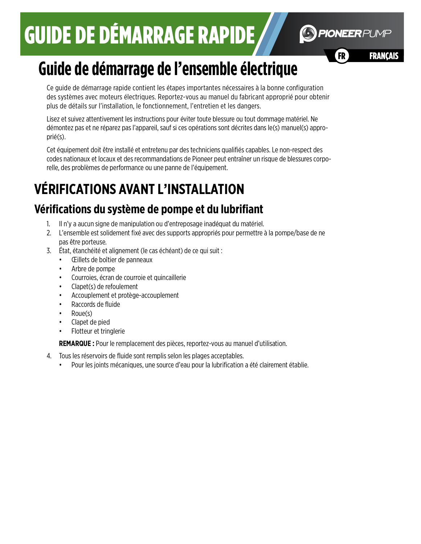

**FRANCAIS** 

# **Guide de démarrage de l'ensemble électrique**

Ce guide de démarrage rapide contient les étapes importantes nécessaires à la bonne configuration des systèmes avec moteurs électriques. Reportez-vous au manuel du fabricant approprié pour obtenir plus de détails sur l'installation, le fonctionnement, l'entretien et les dangers.

Lisez et suivez attentivement les instructions pour éviter toute blessure ou tout dommage matériel. Ne démontez pas et ne réparez pas l'appareil, sauf si ces opérations sont décrites dans le(s) manuel(s) approprié(s).

Cet équipement doit être installé et entretenu par des techniciens qualifiés capables. Le non-respect des codes nationaux et locaux et des recommandations de Pioneer peut entraîner un risque de blessures corporelle, des problèmes de performance ou une panne de l'équipement.

# **VÉRIFICATIONS AVANT L'INSTALLATION**

## **Vérifications du système de pompe et du lubrifiant**

- 1. Il n'y a aucun signe de manipulation ou d'entreposage inadéquat du matériel.
- 2. L'ensemble est solidement fixé avec des supports appropriés pour permettre à la pompe/base de ne pas être porteuse.
- 3. État, étanchéité et alignement (le cas échéant) de ce qui suit :
	- Œillets de boîtier de panneaux
	- Arbre de pompe
	- Courroies, écran de courroie et quincaillerie
	- Clapet(s) de refoulement
	- Accouplement et protège-accouplement
	- Raccords de fluide
	- Roue(s)
	- Clapet de pied
	- Flotteur et tringlerie

**REMARQUE :** Pour le remplacement des pièces, reportez-vous au manuel d'utilisation.

- 4. Tous les réservoirs de fluide sont remplis selon les plages acceptables.
	- Pour les joints mécaniques, une source d'eau pour la lubrification a été clairement établie.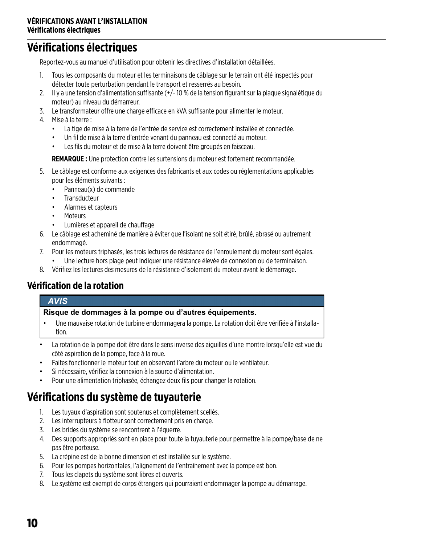## **Vérifications électriques**

Reportez-vous au manuel d'utilisation pour obtenir les directives d'installation détaillées.

- 1. Tous les composants du moteur et les terminaisons de câblage sur le terrain ont été inspectés pour détecter toute perturbation pendant le transport et resserrés au besoin.
- 2. Il y a une tension d'alimentation suffisante (+/- 10 % de la tension figurant sur la plaque signalétique du moteur) au niveau du démarreur.
- 3. Le transformateur offre une charge efficace en kVA suffisante pour alimenter le moteur.
- 4. Mise à la terre :
	- La tige de mise à la terre de l'entrée de service est correctement installée et connectée.
	- Un fil de mise à la terre d'entrée venant du panneau est connecté au moteur.
	- Les fils du moteur et de mise à la terre doivent être groupés en faisceau.

**REMARQUE :** Une protection contre les surtensions du moteur est fortement recommandée.

- 5. Le câblage est conforme aux exigences des fabricants et aux codes ou réglementations applicables pour les éléments suivants :
	- Panneau(x) de commande
	- Transducteur
	- Alarmes et capteurs
	- **Moteurs**
	- Lumières et appareil de chauffage
- 6. Le câblage est acheminé de manière à éviter que l'isolant ne soit étiré, brûlé, abrasé ou autrement endommagé.
- 7. Pour les moteurs triphasés, les trois lectures de résistance de l'enroulement du moteur sont égales. • Une lecture hors plage peut indiquer une résistance élevée de connexion ou de terminaison.
- 8. Vérifiez les lectures des mesures de la résistance d'isolement du moteur avant le démarrage.

### **Vérification de la rotation**

#### **AVIS**

#### **Risque de dommages à la pompe ou d'autres équipements.**

- Une mauvaise rotation de turbine endommagera la pompe. La rotation doit être vérifiée à l'installation.
- La rotation de la pompe doit être dans le sens inverse des aiguilles d'une montre lorsqu'elle est vue du côté aspiration de la pompe, face à la roue.
- Faites fonctionner le moteur tout en observant l'arbre du moteur ou le ventilateur.
- Si nécessaire, vérifiez la connexion à la source d'alimentation.
- Pour une alimentation triphasée, échangez deux fils pour changer la rotation.

## **Vérifications du système de tuyauterie**

- 1. Les tuyaux d'aspiration sont soutenus et complètement scellés.
- 2. Les interrupteurs à flotteur sont correctement pris en charge.
- 3. Les brides du système se rencontrent à l'équerre.
- 4. Des supports appropriés sont en place pour toute la tuyauterie pour permettre à la pompe/base de ne pas être porteuse.
- 5. La crépine est de la bonne dimension et est installée sur le système.
- 6. Pour les pompes horizontales, l'alignement de l'entraînement avec la pompe est bon.
- 7. Tous les clapets du système sont libres et ouverts.
- 8. Le système est exempt de corps étrangers qui pourraient endommager la pompe au démarrage.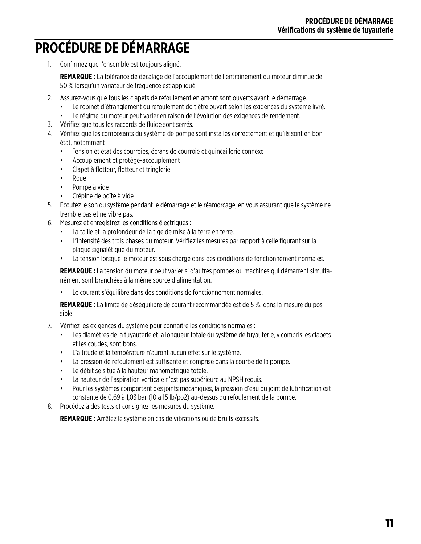# **PROCÉDURE DE DÉMARRAGE**

1. Confirmez que l'ensemble est toujours aligné.

**REMARQUE :** La tolérance de décalage de l'accouplement de l'entraînement du moteur diminue de 50 % lorsqu'un variateur de fréquence est appliqué.

- 2. Assurez-vous que tous les clapets de refoulement en amont sont ouverts avant le démarrage.
	- Le robinet d'étranglement du refoulement doit être ouvert selon les exigences du système livré.
	- Le régime du moteur peut varier en raison de l'évolution des exigences de rendement.
- 3. Vérifiez que tous les raccords de fluide sont serrés.
- 4. Vérifiez que les composants du système de pompe sont installés correctement et qu'ils sont en bon état, notamment :
	- Tension et état des courroies, écrans de courroie et quincaillerie connexe
	- Accouplement et protège-accouplement
	- Clapet à flotteur, flotteur et tringlerie
	- Roue
	- Pompe à vide
	- Crépine de boîte à vide
- 5. Écoutez le son du système pendant le démarrage et le réamorçage, en vous assurant que le système ne tremble pas et ne vibre pas.
- 6. Mesurez et enregistrez les conditions électriques :
	- La taille et la profondeur de la tige de mise à la terre en terre.
	- L'intensité des trois phases du moteur. Vérifiez les mesures par rapport à celle figurant sur la plaque signalétique du moteur.
	- La tension lorsque le moteur est sous charge dans des conditions de fonctionnement normales.

**REMARQUE :** La tension du moteur peut varier si d'autres pompes ou machines qui démarrent simultanément sont branchées à la même source d'alimentation.

• Le courant s'équilibre dans des conditions de fonctionnement normales.

**REMARQUE :** La limite de déséquilibre de courant recommandée est de 5 %, dans la mesure du possible.

- 7. Vérifiez les exigences du système pour connaître les conditions normales :
	- Les diamètres de la tuyauterie et la longueur totale du système de tuyauterie, y compris les clapets et les coudes, sont bons.
	- L'altitude et la température n'auront aucun effet sur le système.
	- La pression de refoulement est suffisante et comprise dans la courbe de la pompe.
	- Le débit se situe à la hauteur manométrique totale.
	- La hauteur de l'aspiration verticale n'est pas supérieure au NPSH requis.
	- Pour les systèmes comportant des joints mécaniques, la pression d'eau du joint de lubrification est constante de 0,69 à 1,03 bar (10 à 15 lb/po2) au-dessus du refoulement de la pompe.
- 8. Procédez à des tests et consignez les mesures du système.

**REMARQUE :** Arrêtez le système en cas de vibrations ou de bruits excessifs.